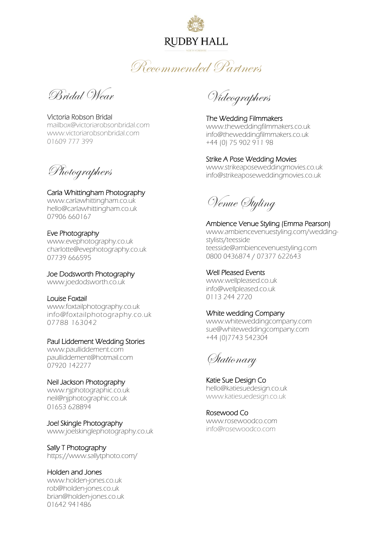### **RUDBY HALL**

Recommended Partners

Bridal Wear

Victoria Robson Bridal mailbox@victoriarobsonbridal.com www.victoriarobsonbridal.com 01609 777 399

Photographers

Carla Whittingham Photography www.carlawhittingham.co.uk hello@carlawhittingham.co.uk 07906 660167

### Eve Photography

[www.evephotography.co.uk](http://www.evephotography.co.uk/) charlotte@evephotography.co.uk 07739 666595

Joe Dodsworth Photography www.joedodsworth.co.uk

### Louise Foxtail

www.foxtailphotography.co.uk info@foxtailphotography.co.uk 07788 163042

### Paul Liddement Wedding Stories

www.paulliddement.com paulliddement@hotmail.com 07920 142277

### Neil Jackson Photography

www.njphotographic.co.uk neil@njphotographic.co.uk 01653 628894

Joel Skingle Photography www.joelskinglephotography.co.uk

Sally T Photography https://www.sallytphoto.com/

Holden and Jones [www.holden-jones.co.uk](http://www.holden-jones.co.uk/)

rob@holden-jones.co.uk brian@holden-jones.co.uk 01642 941486

Videographers

The Wedding Filmmakers www.theweddingfilmmakers.co.uk info@theweddingfilmmakers.co.uk +44 (0) 75 902 911 98

Strike A Pose Wedding Movies www.strikeaposeweddingmovies.co.uk info@strikeaposeweddingmovies.co.uk

Venue Styling

Ambience Venue Styling (Emma Pearson) www.ambiencevenuestyling.com/weddingstylists/teesside teesside@ambiencevenuestyling.com 0800 0436874 / 07377 622643

Well Pleased Events

[www.wellpleased.co.uk](http://www.wellpleased.co.uk/) info@wellpleased.co.uk 0113 244 2720

### White wedding Company

[www.whiteweddingcompany.com](http://www.whiteweddingcompany.com/) sue@whiteweddingcompany.com +44 (0)7743 542304

Stationary

Katie Sue Design Co hello@katiesuedesign.co.uk www.katiesuedesign.co.uk

Rosewood Co www.rosewoodco.com info@rosewoodco.com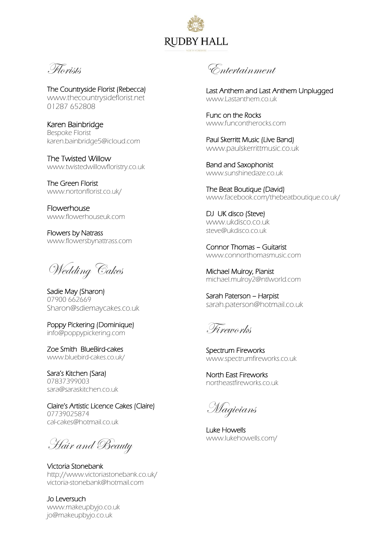# **RUDBY HALL**

Florists

The Countryside Florist (Rebecca) www.thecountrysideflorist.net 01287 652808

Karen Bainbridge Bespoke Florist karen.bainbridge5@icloud.com

The Twisted Willow [www.twistedwillowfloristry.co.uk](http://www.twistedwillowfloristry.co.uk/)

The Green Florist [www.nortonflorist.co.uk/](http://www.nortonflorist.co.uk/)

Flowerhouse www.flowerhouseuk.com

Flowers by Natrass [www.flowersbynattrass.com](http://www.flowersbynattrass.com/)

Wedding Cakes

Sadie May (Sharon) 07900 662669 [Sharon@sdiemaycakes.co.uk](mailto:Sharon@sdiemaycakes.co.uk)

Poppy Pickering (Dominique) info@poppypickering.com

Zoe Smith BlueBird-cakes www.bluebird-cakes.co.uk/

Sara's Kitchen (Sara) 07837399003 sara@saraskitchen.co.uk

Claire's Artistic Licence Cakes (Claire) 07739025874 cal-cakes@hotmail.co.uk

Hair and Beauty

Victoria Stonebank http://www.victoriastonebank.co.uk/ victoria-stonebank@hotmail.com

Jo Leversuch www.makeupbyjo.co.uk jo@makeupbyjo.co.uk

Entertainment

Last Anthem and Last Anthem Unplugged www.Lastanthem.co.uk

Func on the Rocks www.funcontherocks.com

Paul Skerritt Music (Live Band) [www.paulskerrittmusic.co.uk](http://www.paulskerrittmusic.co.uk/)

Band and Saxophonist www.sunshinedaze.co.uk

The Beat Boutique (David) www.facebook.com/thebeatboutique.co.uk/

DJ UK disco (Steve) [www.ukdisco.co.uk](http://www.ukdisco.co.uk/) steve@ukdisco.co.uk

Connor Thomas – Guitarist www.connorthomasmusic.com

Michael Mulroy, Pianist michael.mulroy2@ntlworld.com

Sarah Paterson – Harpist [sarah.paterson@hotmail.co.uk](mailto:sarah.paterson@hotmail.co.uk)

Fireworks

Spectrum Fireworks www.spectrumfireworks.co.uk

North East Fireworks northeastfireworks.co.uk

Magicians

Luke Howells www.lukehowells.com/